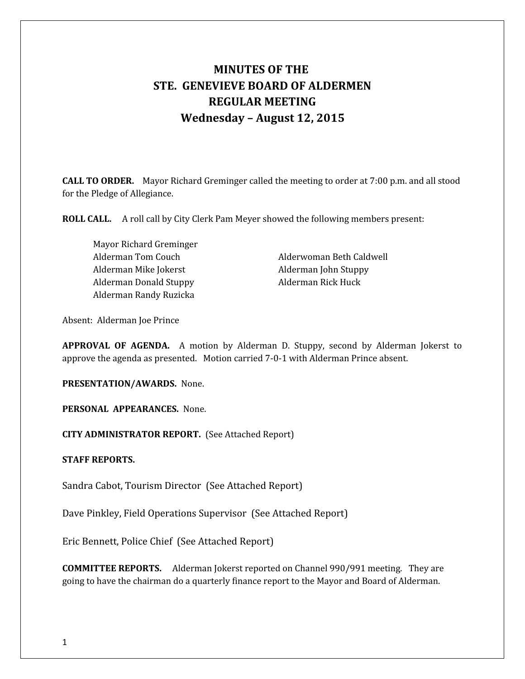# **MINUTES OF THE STE. GENEVIEVE BOARD OF ALDERMEN REGULAR MEETING Wednesday – August 12, 2015**

**CALL TO ORDER.** Mayor Richard Greminger called the meeting to order at 7:00 p.m. and all stood for the Pledge of Allegiance.

**ROLL CALL.** A roll call by City Clerk Pam Meyer showed the following members present:

Mayor Richard Greminger Alderman Mike Jokerst Alderman John Stuppy Alderman Donald Stuppy **Alderman Rick Huck** Alderman Randy Ruzicka

Alderman Tom Couch Alderwoman Beth Caldwell

Absent: Alderman Joe Prince

**APPROVAL OF AGENDA.** A motion by Alderman D. Stuppy, second by Alderman Jokerst to approve the agenda as presented. Motion carried 7-0-1 with Alderman Prince absent.

**PRESENTATION/AWARDS.** None.

**PERSONAL APPEARANCES.** None.

**CITY ADMINISTRATOR REPORT.** (See Attached Report)

**STAFF REPORTS.** 

Sandra Cabot, Tourism Director (See Attached Report)

Dave Pinkley, Field Operations Supervisor (See Attached Report)

Eric Bennett, Police Chief (See Attached Report)

**COMMITTEE REPORTS.** Alderman Jokerst reported on Channel 990/991 meeting. They are going to have the chairman do a quarterly finance report to the Mayor and Board of Alderman.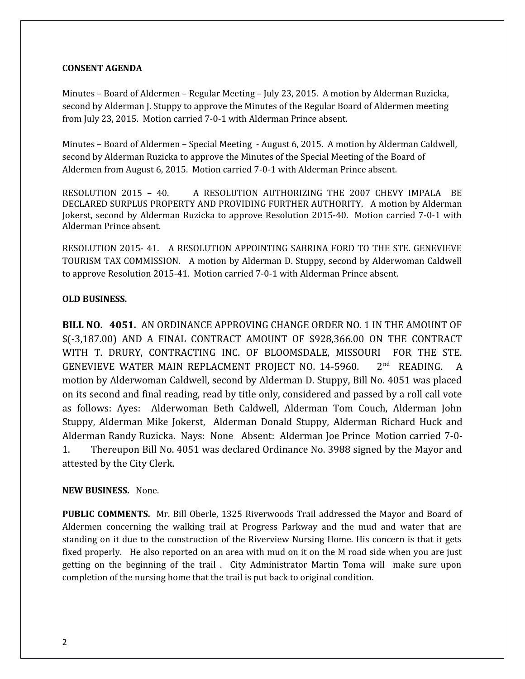### **CONSENT AGENDA**

Minutes – Board of Aldermen – Regular Meeting – July 23, 2015. A motion by Alderman Ruzicka, second by Alderman J. Stuppy to approve the Minutes of the Regular Board of Aldermen meeting from July 23, 2015. Motion carried 7-0-1 with Alderman Prince absent.

Minutes – Board of Aldermen – Special Meeting - August 6, 2015. A motion by Alderman Caldwell, second by Alderman Ruzicka to approve the Minutes of the Special Meeting of the Board of Aldermen from August 6, 2015. Motion carried 7-0-1 with Alderman Prince absent.

RESOLUTION 2015 – 40. A RESOLUTION AUTHORIZING THE 2007 CHEVY IMPALA BE DECLARED SURPLUS PROPERTY AND PROVIDING FURTHER AUTHORITY. A motion by Alderman Jokerst, second by Alderman Ruzicka to approve Resolution 2015-40. Motion carried 7-0-1 with Alderman Prince absent.

RESOLUTION 2015- 41. A RESOLUTION APPOINTING SABRINA FORD TO THE STE. GENEVIEVE TOURISM TAX COMMISSION. A motion by Alderman D. Stuppy, second by Alderwoman Caldwell to approve Resolution 2015-41. Motion carried 7-0-1 with Alderman Prince absent.

## **OLD BUSINESS.**

**BILL NO. 4051.** AN ORDINANCE APPROVING CHANGE ORDER NO. 1 IN THE AMOUNT OF \$(-3,187.00) AND A FINAL CONTRACT AMOUNT OF \$928,366.00 ON THE CONTRACT WITH T. DRURY, CONTRACTING INC. OF BLOOMSDALE, MISSOURI FOR THE STE. GENEVIEVE WATER MAIN REPLACMENT PROJECT NO. 14-5960. 2<sup>nd</sup> READING. A motion by Alderwoman Caldwell, second by Alderman D. Stuppy, Bill No. 4051 was placed on its second and final reading, read by title only, considered and passed by a roll call vote as follows: Ayes: Alderwoman Beth Caldwell, Alderman Tom Couch, Alderman John Stuppy, Alderman Mike Jokerst, Alderman Donald Stuppy, Alderman Richard Huck and Alderman Randy Ruzicka. Nays: None Absent: Alderman Joe Prince Motion carried 7-0- 1. Thereupon Bill No. 4051 was declared Ordinance No. 3988 signed by the Mayor and attested by the City Clerk.

### **NEW BUSINESS.** None.

**PUBLIC COMMENTS.** Mr. Bill Oberle, 1325 Riverwoods Trail addressed the Mayor and Board of Aldermen concerning the walking trail at Progress Parkway and the mud and water that are standing on it due to the construction of the Riverview Nursing Home. His concern is that it gets fixed properly. He also reported on an area with mud on it on the M road side when you are just getting on the beginning of the trail . City Administrator Martin Toma will make sure upon completion of the nursing home that the trail is put back to original condition.